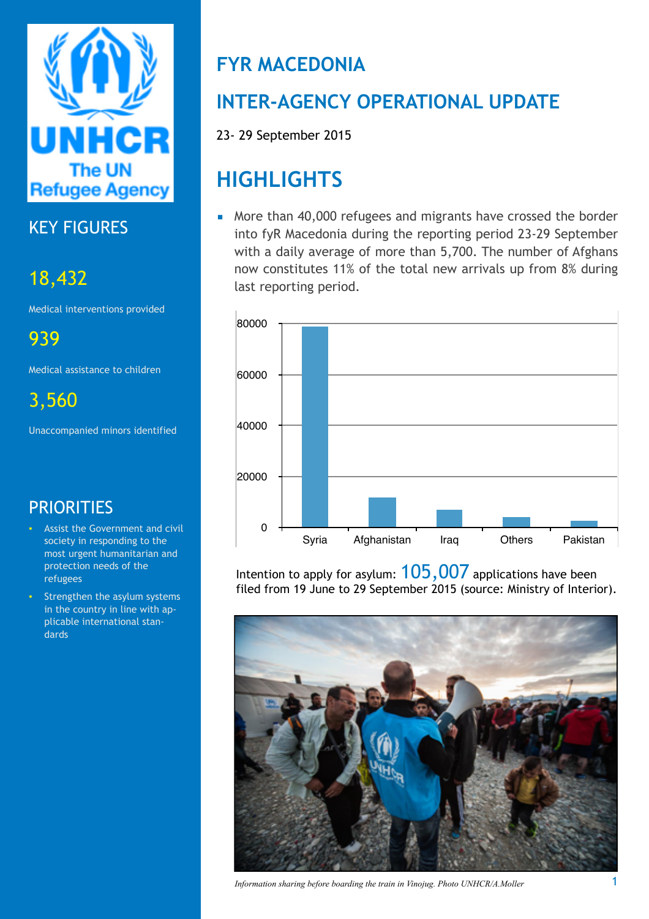

### KEY FIGURES

## 18,432

Medical interventions provided

939

Medical assistance to children

3,560

Unaccompanied minors identified

### **PRIORITIES**

- Assist the Government and civil society in responding to the most urgent humanitarian and protection needs of the refugees
- **Strengthen the asylum systems** in the country in line with applicable international standards

## **FYR MACEDONIA**

## **INTER-AGENCY OPERATIONAL UPDATE**

23- 29 September 2015

# **HIGHLIGHTS**

■ More than 40,000 refugees and migrants have crossed the border into fyR Macedonia during the reporting period 23-29 September with a daily average of more than 5,700. The number of Afghans now constitutes 11% of the total new arrivals up from 8% during last reporting period.



Intention to apply for asylum:  $105,007$  applications have been filed from 19 June to 29 September 2015 (source: Ministry of Interior).



*Information sharing before boarding the train in Vinojug. Photo UNHCR/A.Moller*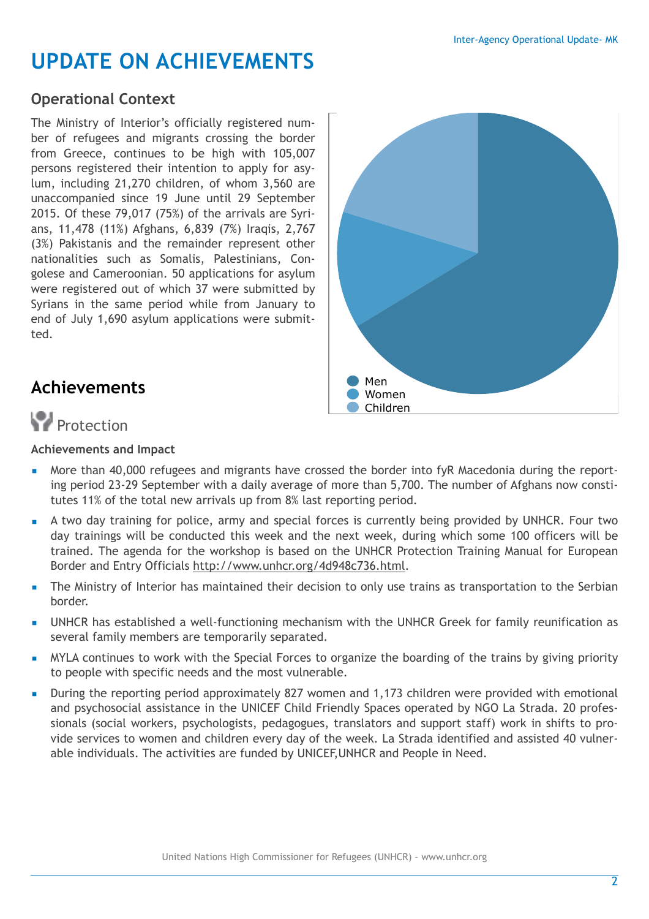# **UPDATE ON ACHIEVEMENTS**

### **Operational Context**

The Ministry of Interior's officially registered number of refugees and migrants crossing the border from Greece, continues to be high with 105,007 persons registered their intention to apply for asylum, including 21,270 children, of whom 3,560 are unaccompanied since 19 June until 29 September 2015. Of these 79,017 (75%) of the arrivals are Syrians, 11,478 (11%) Afghans, 6,839 (7%) Iraqis, 2,767 (3%) Pakistanis and the remainder represent other nationalities such as Somalis, Palestinians, Congolese and Cameroonian. 50 applications for asylum were registered out of which 37 were submitted by Syrians in the same period while from January to end of July 1,690 asylum applications were submitted.

### **Achievements**





### **Achievements and Impact**

- More than 40,000 refugees and migrants have crossed the border into fyR Macedonia during the reporting period 23-29 September with a daily average of more than 5,700. The number of Afghans now constitutes 11% of the total new arrivals up from 8% last reporting period.
- A two day training for police, army and special forces is currently being provided by UNHCR. Four two day trainings will be conducted this week and the next week, during which some 100 officers will be trained. The agenda for the workshop is based on the UNHCR Protection Training Manual for European Border and Entry Officials<http://www.unhcr.org/4d948c736.html>.
- The Ministry of Interior has maintained their decision to only use trains as transportation to the Serbian border.
- UNHCR has established a well-functioning mechanism with the UNHCR Greek for family reunification as several family members are temporarily separated.
- MYLA continues to work with the Special Forces to organize the boarding of the trains by giving priority to people with specific needs and the most vulnerable.
- During the reporting period approximately 827 women and 1,173 children were provided with emotional and psychosocial assistance in the UNICEF Child Friendly Spaces operated by NGO La Strada. 20 professionals (social workers, psychologists, pedagogues, translators and support staff) work in shifts to provide services to women and children every day of the week. La Strada identified and assisted 40 vulnerable individuals. The activities are funded by UNICEF,UNHCR and People in Need.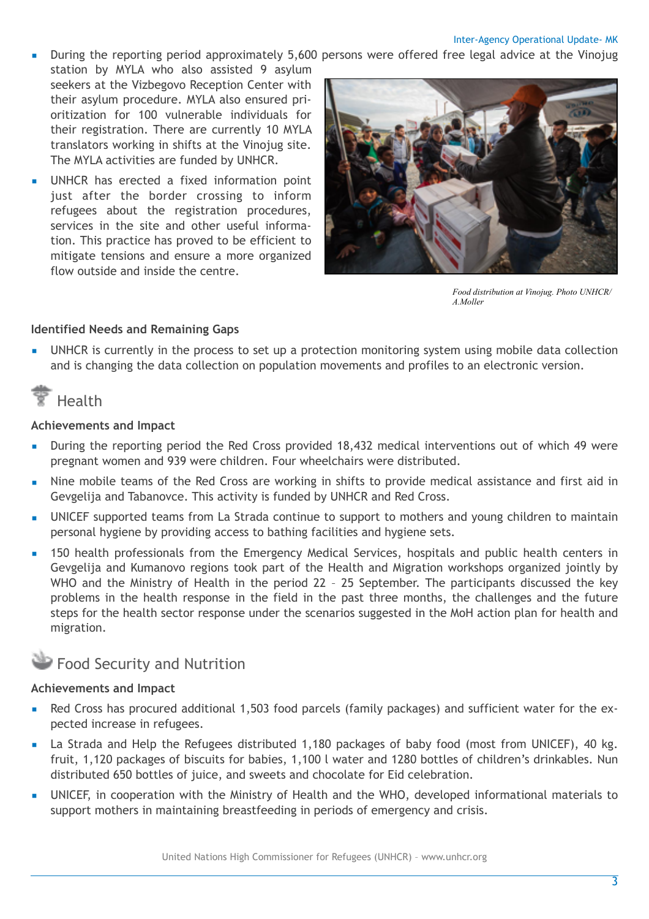#### Inter-Agency Operational Update- MK

- During the reporting period approximately 5,600 persons were offered free legal advice at the Vinojug station by MYLA who also assisted 9 asylum
- seekers at the Vizbegovo Reception Center with their asylum procedure. MYLA also ensured prioritization for 100 vulnerable individuals for their registration. There are currently 10 MYLA translators working in shifts at the Vinojug site. The MYLA activities are funded by UNHCR.
- UNHCR has erected a fixed information point just after the border crossing to inform refugees about the registration procedures, services in the site and other useful information. This practice has proved to be efficient to mitigate tensions and ensure a more organized flow outside and inside the centre.



*Food distribution at Vinojug. Photo UNHCR/ A.Moller*

#### **Identified Needs and Remaining Gaps**

UNHCR is currently in the process to set up a protection monitoring system using mobile data collection and is changing the data collection on population movements and profiles to an electronic version.

## Health

#### **Achievements and Impact**

- During the reporting period the Red Cross provided 18,432 medical interventions out of which 49 were pregnant women and 939 were children. Four wheelchairs were distributed.
- Nine mobile teams of the Red Cross are working in shifts to provide medical assistance and first aid in Gevgelija and Tabanovce. This activity is funded by UNHCR and Red Cross.
- UNICEF supported teams from La Strada continue to support to mothers and young children to maintain personal hygiene by providing access to bathing facilities and hygiene sets.
- 150 health professionals from the Emergency Medical Services, hospitals and public health centers in Gevgelija and Kumanovo regions took part of the Health and Migration workshops organized jointly by WHO and the Ministry of Health in the period 22 - 25 September. The participants discussed the key problems in the health response in the field in the past three months, the challenges and the future steps for the health sector response under the scenarios suggested in the MoH action plan for health and migration.

### **Food Security and Nutrition**

#### **Achievements and Impact**

- Red Cross has procured additional 1,503 food parcels (family packages) and sufficient water for the expected increase in refugees.
- La Strada and Help the Refugees distributed 1,180 packages of baby food (most from UNICEF), 40 kg. fruit, 1,120 packages of biscuits for babies, 1,100 l water and 1280 bottles of children's drinkables. Nun distributed 650 bottles of juice, and sweets and chocolate for Eid celebration.
- UNICEF, in cooperation with the Ministry of Health and the WHO, developed informational materials to support mothers in maintaining breastfeeding in periods of emergency and crisis.